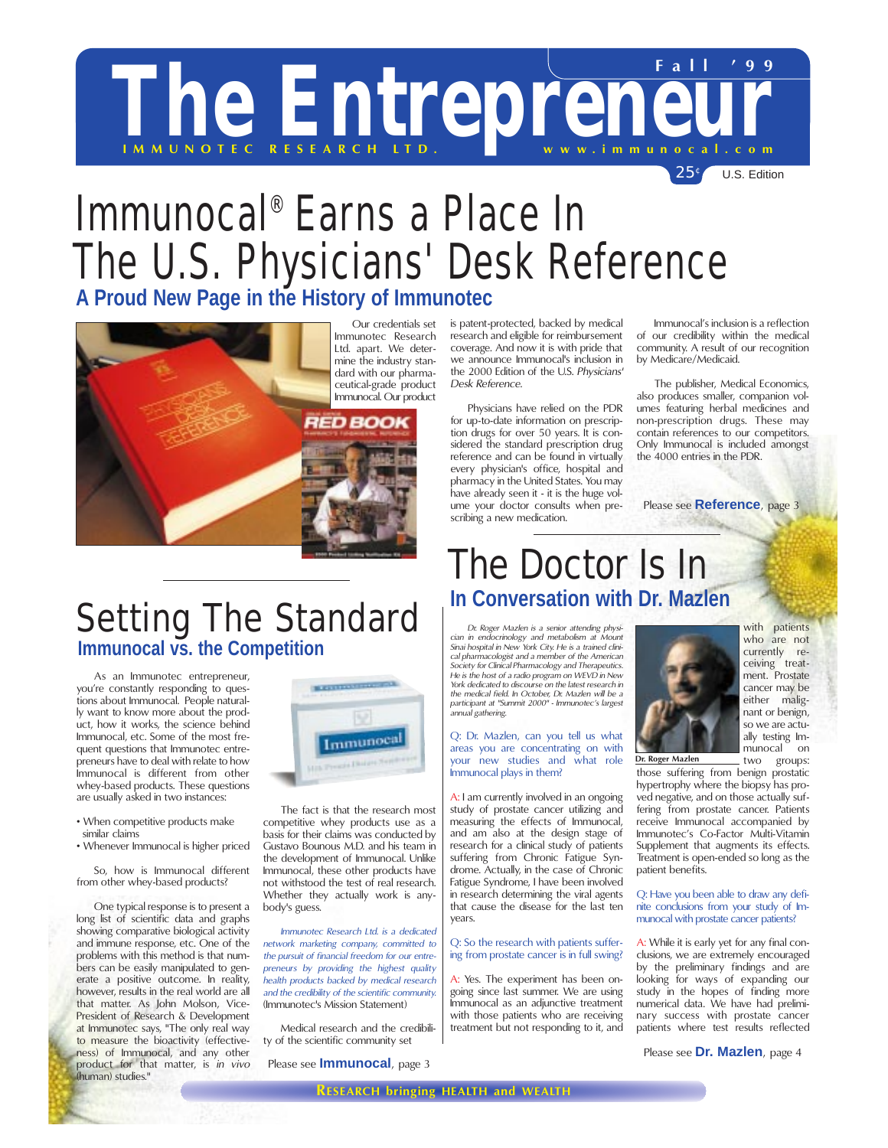# The Entreprene **Fall '99**

 $25<sup>c</sup>$  U.S. Edition

## Immunocal® Earns a Place In The U.S. Physicians' Desk Reference **A Proud New Page in the History of Immunotec**



Immunotec Research Ltd. apart. We determine the industry standard with our pharmaceutical-grade product Immunocal. Our product

## Setting The Standard **Immunocal vs. the Competition**

As an Immunotec entrepreneur, you're constantly responding to questions about Immunocal. People naturally want to know more about the product, how it works, the science behind Immunocal, etc. Some of the most frequent questions that Immunotec entrepreneurs have to deal with relate to how Immunocal is different from other whey-based products. These questions are usually asked in two instances:

- When competitive products make similar claims
- Whenever Immunocal is higher priced

So, how is Immunocal different from other whey-based products?

One typical response is to present a long list of scientific data and graphs showing comparative biological activity and immune response, etc. One of the problems with this method is that numbers can be easily manipulated to generate a positive outcome. In reality, however, results in the real world are all that matter. As John Molson, Vice-President of Research & Development at Immunotec says, "The only real way to measure the bioactivity (effectiveness) of Immunocal, and any other product for that matter, is *in vivo* (human) studies."



The fact is that the research most competitive whey products use as a basis for their claims was conducted by Gustavo Bounous M.D. and his team in the development of Immunocal. Unlike Immunocal, these other products have not withstood the test of real research. Whether they actually work is anybody's guess.

*Immunotec Research Ltd. is a dedicated network marketing company, committed to the pursuit of financial freedom for our entrepreneurs by providing the highest quality health products backed by medical research and the credibility of the scientific community.* (Immunotec's Mission Statement)

Medical research and the credibility of the scientific community set

Please see **Immunocal**, page 3

is patent-protected, backed by medical research and eligible for reimbursement coverage. And now it is with pride that we announce Immunocal's inclusion in the 2000 Edition of the U.S. *Physicians' Desk Reference*.

Physicians have relied on the PDR for up-to-date information on prescription drugs for over 50 years. It is considered the standard prescription drug reference and can be found in virtually every physician's office, hospital and pharmacy in the United States. You may have already seen it - it is the huge volume your doctor consults when prescribing a new medication.

Immunocal's inclusion is a reflection of our credibility within the medical community. A result of our recognition by Medicare/Medicaid.

The publisher, Medical Economics, also produces smaller, companion volumes featuring herbal medicines and non-prescription drugs. These may contain references to our competitors. Only Immunocal is included amongst the 4000 entries in the PDR.

Please see **Reference**, page 3

## The Doctor Is In **In Conversation with Dr. Mazlen**

*Dr. Roger Mazlen is a senior attending physician in endocrinology and metabolism at Mount Sinai hospital in New York City. He is a trained clinical pharmacologist and a member of the American Society for Clinical Pharmacology and Therapeutics. He is the host of a radio program on WEVD in New York dedicated to discourse on the latest research in the medical field. In October, Dr. Mazlen will be a participant at "Summit 2000" - Immunotec's largest annual gathering.*

### Q: Dr. Mazlen, can you tell us what areas you are concentrating on with your new studies and what role Immunocal plays in them?

A: I am currently involved in an ongoing study of prostate cancer utilizing and measuring the effects of Immunocal, and am also at the design stage of research for a clinical study of patients suffering from Chronic Fatigue Syndrome. Actually, in the case of Chronic Fatigue Syndrome, I have been involved in research determining the viral agents that cause the disease for the last ten years.

### Q: So the research with patients suffering from prostate cancer is in full swing?

A: Yes. The experiment has been ongoing since last summer. We are using Immunocal as an adjunctive treatment with those patients who are receiving treatment but not responding to it, and



with patients who are not currently receiving treatment. Prostate cancer may be either malignant or benign, so we are actually testing Immunocal on<br>two groups: groups:

**Dr. Roger Mazlen**

those suffering from benign prostatic hypertrophy where the biopsy has proved negative, and on those actually suffering from prostate cancer. Patients receive Immunocal accompanied by Immunotec's Co-Factor Multi-Vitamin Supplement that augments its effects. Treatment is open-ended so long as the patient benefits.

### Q: Have you been able to draw any definite conclusions from your study of Immunocal with prostate cancer patients?

A: While it is early yet for any final conclusions, we are extremely encouraged by the preliminary findings and are looking for ways of expanding our study in the hopes of finding more numerical data. We have had preliminary success with prostate cancer patients where test results reflected

Please see **Dr. Mazlen**, page 4

**RESEARCH bringing HEALTH and WEALTH**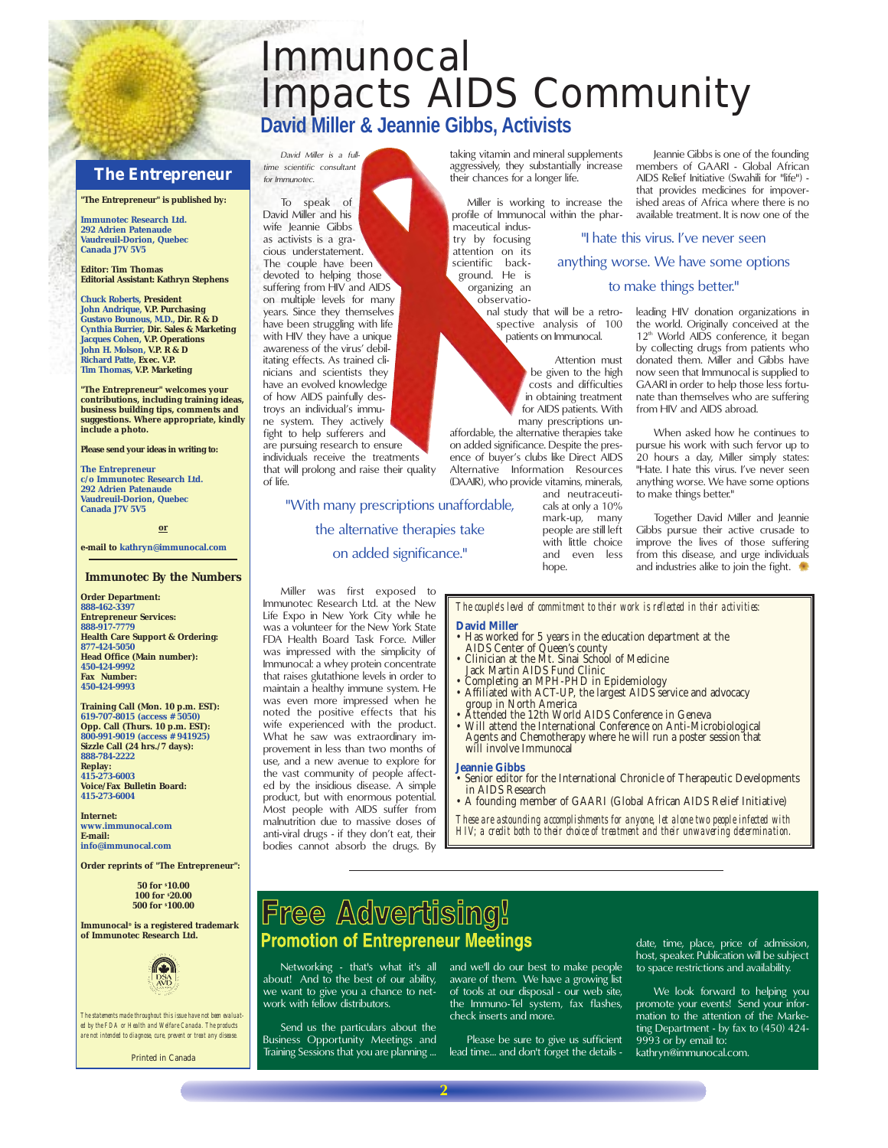## Immunocal Impacts AIDS Community **David Miller & Jeannie Gibbs, Activists**

### **THE ENTREPRENEUR The Entrepreneur**

*David Miller is a fulltime scientific consultant for Immunotec.*

To speak of David Miller and his wife leannie Gibbs as activists is a gracious understatement. The couple have been devoted to helping those suffering from HIV and AIDS on multiple levels for many years. Since they themselves have been struggling with life with HIV they have a unique awareness of the virus' debilitating effects. As trained clinicians and scientists they have an evolved knowledge of how AIDS painfully destroys an individual's immune system. They actively fight to help sufferers and are pursuing research to ensure individuals receive the treatments that will prolong and raise their quality

of life.

**"The Entrepreneur" is published by:**

**Immunotec Research Ltd. 292 Adrien Patenaude Vaudreuil-Dorion, Quebec Canada J7V 5V5**

**Editor: Tim Thomas Editorial Assistant: Kathryn Stephens**

**Chuck Roberts, President John Andrique, V.P. Purchasing Gustavo Bounous, M.D., Dir. R & D Cynthia Burrier, Dir. Sales & Marketing Jacques Cohen, V.P. Operations John H. Molson, V.P. R & D Richard Patte, Exec. V.P. Tim Thomas, V.P. Marketing**

**"The Entrepreneur" welcomes your contributions, including training ideas, business building tips, comments and suggestions. Where appropriate, kindly include a photo.**

**Please send your ideas in writing to:**

**The Entrepreneur c/o Immunotec Research Ltd. 292 Adrien Patenaude Vaudreuil-Dorion, Quebec Canada J7V 5V5**

**or**

**e-mail to kathryn@immunocal.com**

#### **Immunotec By the Numbers**

**Order Department: 888-462-3397 Entrepreneur Services: 888-917-7779 Health Care Support & Ordering: 877-424-5050 Head Office (Main number): 450-424-9992 Fax Number: 450-424-9993**

**Training Call (Mon. 10 p.m. EST): 619-707-8015 (access # 5050) Opp. Call (Thurs. 10 p.m. EST): 800-991-9019 (access # 941925) Sizzle Call (24 hrs./7 days): 888-784-2222 Replay: 415-273-6003 Voice/Fax Bulletin Board: 415-273-6004**

**Internet: www.immunocal.com E-mail: info@immunocal.com**

**Order reprints of "The Entrepreneur":**

**50 for \$ 10.00 100 for \$ 20.00 500 for \$ 100.00**

**Immunocal® is a registered trademark of Immunotec Research Ltd.**



*The statements made throughout this issue have not been evaluated by the FDA or Health and Welfare Canada. The products are not intended to diagnose, cure, prevent or treat any disease.*

**Printed in Canada**

taking vitamin and mineral supplements aggressively, they substantially increase their chances for a longer life.

Miller is working to increase the profile of Immunocal within the pharmaceutical indus-

try by focusing attention on its scientific background. He is organizing an observatio-

nal study that will be a retrospective analysis of 100 patients on Immunocal.

> Attention must be given to the high costs and difficulties in obtaining treatment for AIDS patients. With many prescriptions un-

affordable, the alternative therapies take on added significance. Despite the presence of buyer's clubs like Direct AIDS Alternative Information Resources (DAAIR), who provide vitamins, minerals,

and neutraceuticals at only a 10% mark-up, many people are still left with little choice and even less hope.

Jeannie Gibbs is one of the founding members of GAARI - Global African AIDS Relief Initiative (Swahili for "life") that provides medicines for impoverished areas of Africa where there is no available treatment. It is now one of the

"I hate this virus. I've never seen

anything worse. We have some options to make things better."

> leading HIV donation organizations in the world. Originally conceived at the 12<sup>th</sup> World AIDS conference, it began by collecting drugs from patients who donated them. Miller and Gibbs have now seen that Immunocal is supplied to GAARI in order to help those less fortunate than themselves who are suffering from HIV and AIDS abroad.

> When asked how he continues to pursue his work with such fervor up to 20 hours a day, Miller simply states: "Hate. I hate this virus. I've never seen anything worse. We have some options to make things better."

> Together David Miller and Jeannie Gibbs pursue their active crusade to improve the lives of those suffering from this disease, and urge individuals and industries alike to join the fight.

*The couple's level of commitment to their work is reflected in their activities:* **David Miller** 

- Has worked for 5 years in the education department at the AIDS Center of Queen's county<br>• Clinician at the Mt. Sinai School of Medicine<br>• Jack Martin AIDS Fund Clinic
- 
- Completing an MPH-PHD in Epidemiology
- Affiliated with ACT-UP, the largest AIDS service and advocacy group in North America
- Attended the 12th World AIDS Conference in Geneva
- Will attend the International Conference on Anti-Microbiological Agents and Chemotherapy where he will run a poster session that will involve Immunocal

#### **Jeannie Gibbs**

- Senior editor for the International Chronicle of Therapeutic Developments in AIDS Research
- A founding member of GAARI (Global African AIDS Relief Initiative)

*These are astounding accomplishments for anyone, let alone two people infected with HIV; a credit both to their choice of treatment and their unwavering determination.*

## Free Advertising! **Promotion of Entrepreneur Meetings**

about! And to the best of our ability, we want to give you a chance to network with fellow distributors.

Miller was first exposed to Immunotec Research Ltd. at the New Life Expo in New York City while he was a volunteer for the New York State FDA Health Board Task Force. Miller was impressed with the simplicity of Immunocal: a whey protein concentrate that raises glutathione levels in order to maintain a healthy immune system. He was even more impressed when he noted the positive effects that his wife experienced with the product. What he saw was extraordinary improvement in less than two months of use, and a new avenue to explore for the vast community of people affected by the insidious disease. A simple product, but with enormous potential. Most people with AIDS suffer from malnutrition due to massive doses of anti-viral drugs - if they don't eat, their bodies cannot absorb the drugs. By

"With many prescriptions unaffordable, the alternative therapies take on added significance."

Send us the particulars about the Business Opportunity Meetings and Training Sessions that you are planning ...

Networking - that's what it's all and we'll do our best to make people aware of them. We have a growing list of tools at our disposal - our web site, the Immuno-Tel system, fax flashes, check inserts and more.

> Please be sure to give us sufficient lead time... and don't forget the details -

date, time, place, price of admission, host, speaker. Publication will be subject to space restrictions and availability.

We look forward to helping you promote your events! Send your information to the attention of the Marketing Department - by fax to (450) 424- 9993 or by email to:

kathryn@immunocal.com.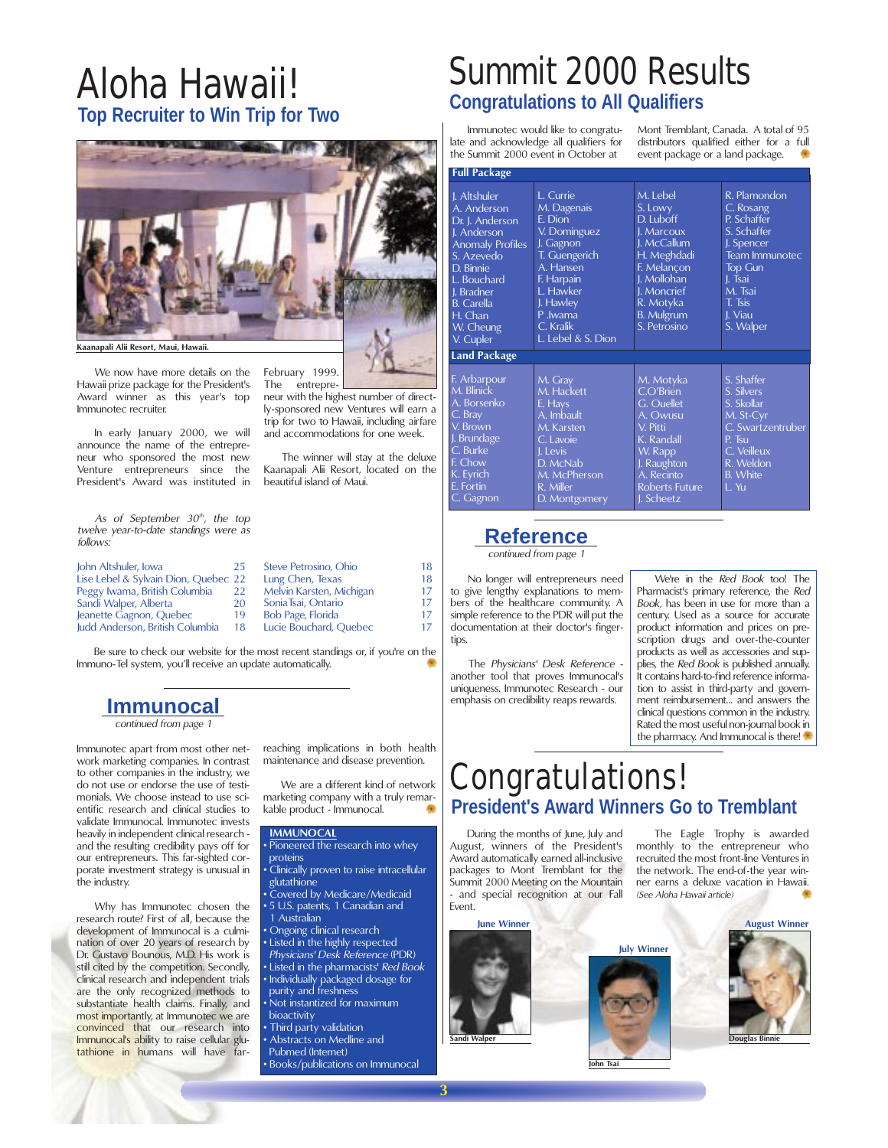## Aloha Hawaii! **Top Recruiter to Win Trip for Two**



February 1999<br>The entrepreentrepre-

beautiful island of Maui.

neur with the highest number of directly-sponsored new Ventures will earn a trip for two to Hawaii, including airfare and accommodations for one week. The winner will stay at the deluxe Kaanapali Alii Resort, located on the

We now have more details on the Hawaii prize package for the President's Award winner as this year's top Immunotec recruiter.

In early January 2000, we will announce the name of the entrepreneur who sponsored the most new Venture entrepreneurs since the President's Award was instituted in

As of September 30<sup>th</sup>, the top *twelve year-to-date standings were as follows:*

| 25                                   | Steve Petrosino, Ohio    | 18 |
|--------------------------------------|--------------------------|----|
| Lise Lebel & Sylvain Dion, Quebec 22 | Lung Chen, Texas         | 18 |
| 22                                   | Melvin Karsten, Michigan | 17 |
| 20                                   | Sonia Tsai, Ontario      | 17 |
| 19                                   | Bob Page, Florida        | 17 |
| 18                                   | Lucie Bouchard, Quebec   | 17 |
|                                      |                          |    |

Be sure to check our website for the most recent standings or, if you're on the Immuno-Tel system, you'll receive an update automatically.

### **Immunocal**

*continued from page 1*

Immunotec apart from most other network marketing companies. In contrast to other companies in the industry, we do not use or endorse the use of testimonials. We choose instead to use scientific research and clinical studies to validate Immunocal. Immunotec invests heavily in independent clinical research and the resulting credibility pays off for our entrepreneurs. This far-sighted corporate investment strategy is unusual in the industry.

Why has Immunotec chosen the research route? First of all, because the development of Immunocal is a culmination of over 20 years of research by Dr. Gustavo Bounous, M.D. His work is still cited by the competition. Secondly, clinical research and independent trials are the only recognized methods to substantiate health claims. Finally, and most importantly, at Immunotec we are convinced that our research into Immunocal's ability to raise cellular glutathione in humans will have far-

reaching implications in both health maintenance and disease prevention.

We are a different kind of network marketing company with a truly remarkable product - Immunocal.

### **IMMUNOCAL**

Pioneered the research into whey proteins

• Clinically proven to raise intracellular glutathione • Covered by Medicare/Medicaid • 5 U.S. patents, 1 Canadian and 1 Australian • Ongoing clinical research • Listed in the highly respected *Physicians' Desk Reference* (PDR) • Listed in the pharmacists' *Red Book* • Individually packaged dosage for purity and freshness • Not instantized for maximum bioactivity Third party validation • Abstracts on Medline and

Pubmed (Internet) • Books/publications on Immunocal

## Summit 2000 Results **Congratulations to All Qualifiers**

Immunotec would like to congratulate and acknowledge all qualifiers for the Summit 2000 event in October at

Mont Tremblant, Canada. A total of 95 distributors qualified either for a full event package or a land package.

| <b>Full Package</b>                                                                                                                                                                                        |                                                                                                                                                                                      |                                                                                                                                                                             |                                                                                                                                                                           |  |  |
|------------------------------------------------------------------------------------------------------------------------------------------------------------------------------------------------------------|--------------------------------------------------------------------------------------------------------------------------------------------------------------------------------------|-----------------------------------------------------------------------------------------------------------------------------------------------------------------------------|---------------------------------------------------------------------------------------------------------------------------------------------------------------------------|--|--|
| J. Altshuler<br>A. Anderson<br>Dr. J. Anderson<br>I. Anderson<br><b>Anomaly Profiles</b><br>S. Azevedo<br>D. Binnie<br>L. Bouchard<br>J. Bradner<br><b>B.</b> Carella<br>H. Chan<br>W. Cheung<br>V. Cupler | L. Currie<br>M. Dagenais<br>F. Dion<br>V. Dominguez<br>J. Gagnon<br>T. Guengerich<br>A. Hansen<br>F. Harpain<br>L. Hawker<br>J. Hawley<br>P.lwama<br>C. Kralik<br>L. Lebel & S. Dion | M. Lebel<br>S. Lowy<br>D. Luboff<br>J. Marcoux<br>I. McCallum<br>H. Meghdadi<br>F. Melancon<br>J. Mollohan<br>J. Moncrief<br>R. Motyka<br><b>B.</b> Mulgrum<br>S. Petrosino | R. Plamondon<br>C. Rosang<br>P. Schaffer<br>S. Schaffer<br>J. Spencer<br><b>Team Immunotec</b><br><b>Top Gun</b><br>J. Tsai<br>M. Tsai<br>T. Tsis<br>I. Viau<br>S. Walper |  |  |
| <b>Land Package</b>                                                                                                                                                                                        |                                                                                                                                                                                      |                                                                                                                                                                             |                                                                                                                                                                           |  |  |
| F. Arbarpour<br>M. Blinick<br>A. Borsenko<br>C. Bray<br>V. Brown<br>J. Brundage<br>C. Burke<br>F. Chow<br>K. Eyrich<br>E. Fortin<br>C. Gagnon                                                              | M. Gray<br>M. Hackett<br>E. Hays<br>A. Imbault<br>M. Karsten<br>C. Lavoie<br>I. Levis<br>D. McNab<br>M. McPherson<br>R. Miller<br>D. Montgomery                                      | M. Motyka<br>C.O'Brien<br>G. Ouellet<br>A. Owusu<br>V. Pitti<br>K. Randall<br>W. Rapp<br>J. Raughton<br>A. Recinto<br><b>Roberts Future</b><br>J. Scheetz                   | S. Shaffer<br>S. Silvers<br>S. Skollar<br>$M$ . St-Cyr<br>C. Swartzentruber<br>P. Tsu<br>C. Veilleux<br>R. Weldon<br><b>B.</b> White<br>T. Yu                             |  |  |

### **Reference**

*continued from page 1*

No longer will entrepreneurs need to give lengthy explanations to members of the healthcare community. A simple reference to the PDR will put the documentation at their doctor's fingertips.

The *Physicians' Desk Reference* another tool that proves Immunocal's uniqueness. Immunotec Research - our emphasis on credibility reaps rewards.

We're in the *Red Book* too! The Pharmacist's primary reference, the *Red Book,* has been in use for more than a century. Used as a source for accurate product information and prices on prescription drugs and over-the-counter products as well as accessories and supplies, the *Red Book* is published annually. It contains hard-to-find reference information to assist in third-party and government reimbursement… and answers the clinical questions common in the industry. Rated the most useful non-journal book in the pharmacy. And Immunocal is there!

## Congratulations! **President's Award Winners Go to Tremblant**

During the months of June, July and August, winners of the President's Award automatically earned all-inclusive packages to Mont Tremblant for the Summit 2000 Meeting on the Mountain - and special recognition at our Fall Event.

The Eagle Trophy is awarded monthly to the entrepreneur who recruited the most front-line Ventures in the network. The end-of-the year winner earns a deluxe vacation in Hawaii. *(See Aloha Hawaii article)*

**June Winner**





**John Tsai**

**Douglas Binnie August Winner**

**3**